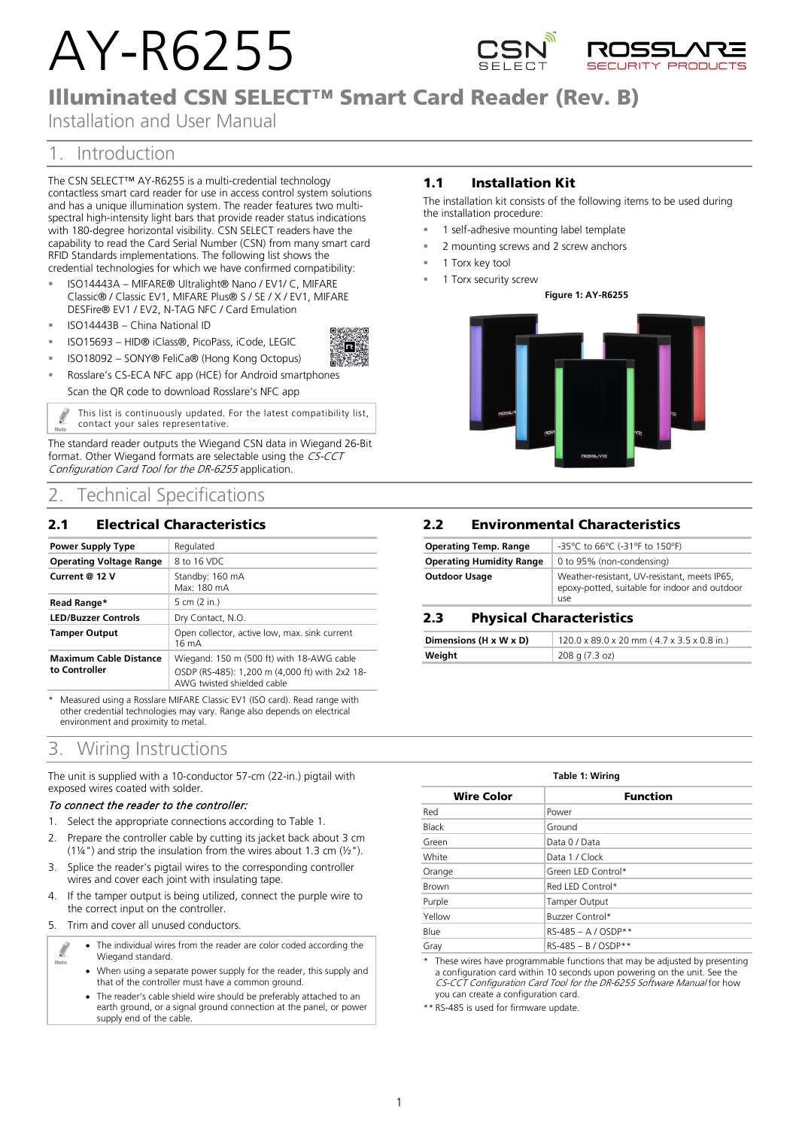# AY-R6255



## Illuminated CSN SELECT™ Smart Card Reader (Rev. B)

Installation and User Manual

### 1. Introduction

The CSN SELECT™ AY-R6255 is a multi-credential technology contactless smart card reader for use in access control system solutions and has a unique illumination system. The reader features two multispectral high-intensity light bars that provide reader status indications with 180-degree horizontal visibility. CSN SELECT readers have the capability to read the Card Serial Number (CSN) from many smart card RFID Standards implementations. The following list shows the credential technologies for which we have confirmed compatibility:

- ISO14443A MIFARE® Ultralight® Nano / EV1/ C, MIFARE Classic® / Classic EV1, MIFARE Plus® S / SE / X / EV1, MIFARE DESFire® EV1 / EV2, N-TAG NFC / Card Emulation
- ISO14443B China National ID
- ISO15693 HID® iClass®, PicoPass, iCode, LEGIC
- ISO18092 SONY® FeliCa® (Hong Kong Octopus)
- Rosslare's CS-ECA NFC app (HCE) for Android smartphones Scan the QR code to download Rosslare's NFC app

This list is continuously updated. For the latest compatibility list, Í contact your sales representative.

The standard reader outputs the Wiegand CSN data in Wiegand 26-Bit format. Other Wiegand formats are selectable using the CS-CCT Configuration Card Tool for the DR-6255 application.

### 2. Technical Specifications

### 2.1 Electrical Characteristics

| <b>Power Supply Type</b>                       | Regulated                                                                                                                 |
|------------------------------------------------|---------------------------------------------------------------------------------------------------------------------------|
| <b>Operating Voltage Range</b>                 | 8 to 16 VDC                                                                                                               |
| Current @ 12 V                                 | Standby: 160 mA<br>Max: 180 mA                                                                                            |
| Read Range*                                    | 5 cm (2 in.)                                                                                                              |
| <b>LED/Buzzer Controls</b>                     | Dry Contact, N.O.                                                                                                         |
| <b>Tamper Output</b>                           | Open collector, active low, max. sink current<br>16 mA                                                                    |
| <b>Maximum Cable Distance</b><br>to Controller | Wiegand: 150 m (500 ft) with 18-AWG cable<br>OSDP (RS-485): 1,200 m (4,000 ft) with 2x2 18-<br>AWG twisted shielded cable |

Measured using a Rosslare MIFARE Classic EV1 (ISO card). Read range with other credential technologies may vary. Range also depends on electrical environment and proximity to metal.

### 3. Wiring Instructions

The unit is supplied with a 10-conductor 57-cm (22-in.) pigtail with exposed wires coated with solder.

#### To connect the reader to the controller:

- 1. Select the appropriate connections according t[o Table 1.](#page-0-0)
- 2. Prepare the controller cable by cutting its jacket back about 3 cm (1¼") and strip the insulation from the wires about 1.3 cm  $(\frac{1}{2})$ .
- 3. Splice the reader's pigtail wires to the corresponding controller wires and cover each joint with insulating tape.
- 4. If the tamper output is being utilized, connect the purple wire to the correct input on the controller.
- 5. Trim and cover all unused conductors.

Ø

- The individual wires from the reader are color coded according the Wiegand standard.
- When using a separate power supply for the reader, this supply and that of the controller must have a common ground.
- The reader's cable shield wire should be preferably attached to an earth ground, or a signal ground connection at the panel, or power supply end of the cable.

### 1.1 Installation Kit

The installation kit consists of the following items to be used during the installation procedure:

- 1 self-adhesive mounting label template
- 2 mounting screws and 2 screw anchors
- 1 Torx key tool
- 1 Torx security screw

#### **Figure 1: AY-R6255**



### 2.2 Environmental Characteristics

| <b>Operating Temp. Range</b>    | -35°C to 66°C (-31°F to 150°F)                                                                       |
|---------------------------------|------------------------------------------------------------------------------------------------------|
| <b>Operating Humidity Range</b> | 0 to 95% (non-condensing)                                                                            |
| <b>Outdoor Usage</b>            | Weather-resistant, UV-resistant, meets IP65,<br>epoxy-potted, suitable for indoor and outdoor<br>use |

### 2.3 Physical Characteristics

| Dimensions (H x W x D) | 120.0 x 89.0 x 20 mm (4.7 x 3.5 x 0.8 in.) |
|------------------------|--------------------------------------------|
| Weight                 | 208 g (7.3 oz)                             |

<span id="page-0-0"></span>

| Table 1: Wiring   |                       |  |
|-------------------|-----------------------|--|
| <b>Wire Color</b> | <b>Function</b>       |  |
| Red               | Power                 |  |
| Black             | Ground                |  |
| Green             | Data 0 / Data         |  |
| White             | Data 1 / Clock        |  |
| Orange            | Green LED Control*    |  |
| <b>Brown</b>      | Red LED Control*      |  |
| Purple            | Tamper Output         |  |
| Yellow            | Buzzer Control*       |  |
| Blue              | $RS-485 - A / OSDP**$ |  |
| Gray              | $RS-485 - B / OSDP**$ |  |

\* These wires have programmable functions that may be adjusted by presenting a configuration card within 10 seconds upon powering on the unit. See the CS-CCT Configuration Card Tool for the DR-6255 Software Manual for how you can create a configuration card.

\*\* RS-485 is used for firmware update